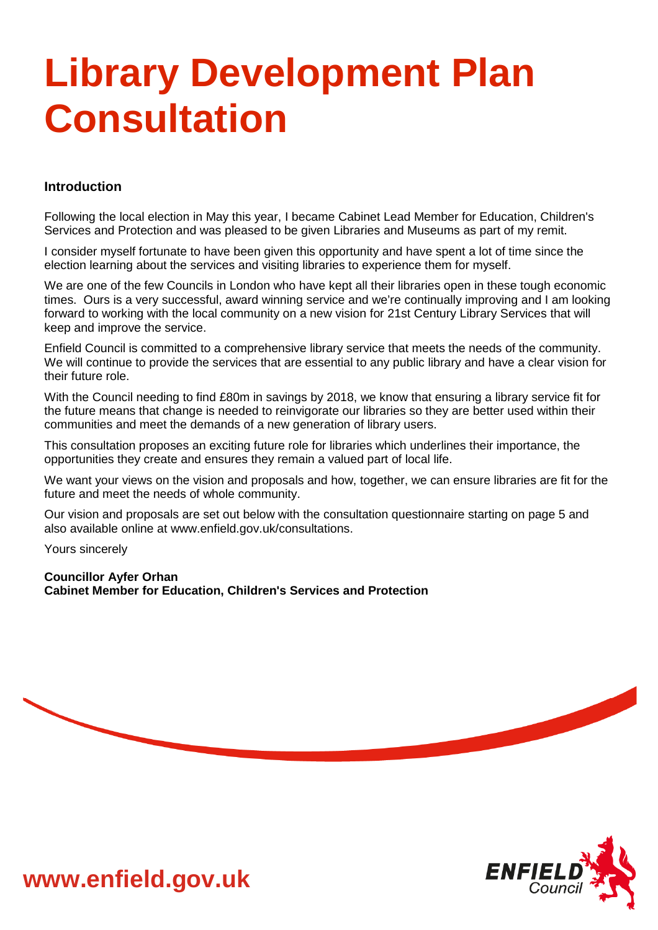# **Library Development Plan Consultation**

# **Introduction**

Following the local election in May this year, I became Cabinet Lead Member for Education, Children's Services and Protection and was pleased to be given Libraries and Museums as part of my remit.

I consider myself fortunate to have been given this opportunity and have spent a lot of time since the election learning about the services and visiting libraries to experience them for myself.

We are one of the few Councils in London who have kept all their libraries open in these tough economic times. Ours is a very successful, award winning service and we're continually improving and I am looking forward to working with the local community on a new vision for 21st Century Library Services that will keep and improve the service.

Enfield Council is committed to a comprehensive library service that meets the needs of the community. We will continue to provide the services that are essential to any public library and have a clear vision for their future role.

With the Council needing to find £80m in savings by 2018, we know that ensuring a library service fit for the future means that change is needed to reinvigorate our libraries so they are better used within their communities and meet the demands of a new generation of library users.

This consultation proposes an exciting future role for libraries which underlines their importance, the opportunities they create and ensures they remain a valued part of local life.

We want your views on the vision and proposals and how, together, we can ensure libraries are fit for the future and meet the needs of whole community.

Our vision and proposals are set out below with the consultation questionnaire starting on page 5 and also available online at www.enfield.gov.uk/consultations.

Yours sincerely

**Councillor Ayfer Orhan Cabinet Member for Education, Children's Services and Protection**





**www.enfield.gov.uk**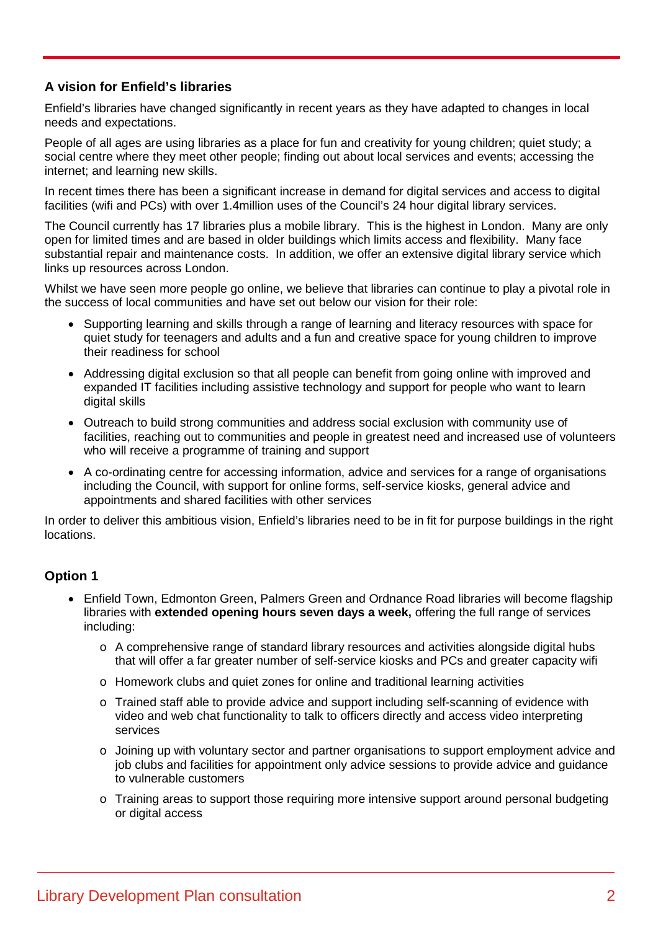# **A vision for Enfield's libraries**

Enfield's libraries have changed significantly in recent years as they have adapted to changes in local needs and expectations.

People of all ages are using libraries as a place for fun and creativity for young children; quiet study; a social centre where they meet other people; finding out about local services and events; accessing the internet; and learning new skills.

In recent times there has been a significant increase in demand for digital services and access to digital facilities (wifi and PCs) with over 1.4million uses of the Council's 24 hour digital library services.

The Council currently has 17 libraries plus a mobile library. This is the highest in London. Many are only open for limited times and are based in older buildings which limits access and flexibility. Many face substantial repair and maintenance costs. In addition, we offer an extensive digital library service which links up resources across London.

Whilst we have seen more people go online, we believe that libraries can continue to play a pivotal role in the success of local communities and have set out below our vision for their role:

- Supporting learning and skills through a range of learning and literacy resources with space for quiet study for teenagers and adults and a fun and creative space for young children to improve their readiness for school
- Addressing digital exclusion so that all people can benefit from going online with improved and expanded IT facilities including assistive technology and support for people who want to learn digital skills
- Outreach to build strong communities and address social exclusion with community use of facilities, reaching out to communities and people in greatest need and increased use of volunteers who will receive a programme of training and support
- A co-ordinating centre for accessing information, advice and services for a range of organisations including the Council, with support for online forms, self-service kiosks, general advice and appointments and shared facilities with other services

In order to deliver this ambitious vision, Enfield's libraries need to be in fit for purpose buildings in the right locations.

# **Option 1**

- Enfield Town, Edmonton Green, Palmers Green and Ordnance Road libraries will become flagship libraries with **extended opening hours seven days a week,** offering the full range of services including:
	- o A comprehensive range of standard library resources and activities alongside digital hubs that will offer a far greater number of self-service kiosks and PCs and greater capacity wifi
	- o Homework clubs and quiet zones for online and traditional learning activities
	- o Trained staff able to provide advice and support including self-scanning of evidence with video and web chat functionality to talk to officers directly and access video interpreting services
	- o Joining up with voluntary sector and partner organisations to support employment advice and job clubs and facilities for appointment only advice sessions to provide advice and guidance to vulnerable customers
	- o Training areas to support those requiring more intensive support around personal budgeting or digital access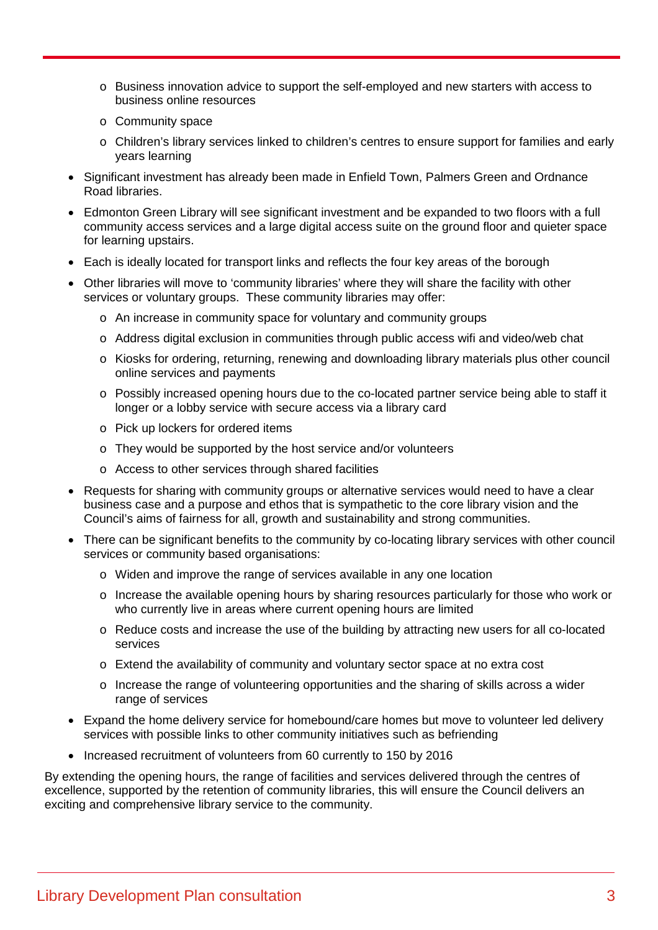- o Business innovation advice to support the self-employed and new starters with access to business online resources
- o Community space
- o Children's library services linked to children's centres to ensure support for families and early years learning
- Significant investment has already been made in Enfield Town, Palmers Green and Ordnance Road libraries.
- Edmonton Green Library will see significant investment and be expanded to two floors with a full community access services and a large digital access suite on the ground floor and quieter space for learning upstairs.
- Each is ideally located for transport links and reflects the four key areas of the borough
- Other libraries will move to 'community libraries' where they will share the facility with other services or voluntary groups. These community libraries may offer:
	- o An increase in community space for voluntary and community groups
	- o Address digital exclusion in communities through public access wifi and video/web chat
	- o Kiosks for ordering, returning, renewing and downloading library materials plus other council online services and payments
	- o Possibly increased opening hours due to the co-located partner service being able to staff it longer or a lobby service with secure access via a library card
	- o Pick up lockers for ordered items
	- o They would be supported by the host service and/or volunteers
	- o Access to other services through shared facilities
- Requests for sharing with community groups or alternative services would need to have a clear business case and a purpose and ethos that is sympathetic to the core library vision and the Council's aims of fairness for all, growth and sustainability and strong communities.
- There can be significant benefits to the community by co-locating library services with other council services or community based organisations:
	- o Widen and improve the range of services available in any one location
	- o Increase the available opening hours by sharing resources particularly for those who work or who currently live in areas where current opening hours are limited
	- o Reduce costs and increase the use of the building by attracting new users for all co-located services
	- o Extend the availability of community and voluntary sector space at no extra cost
	- o Increase the range of volunteering opportunities and the sharing of skills across a wider range of services
- Expand the home delivery service for homebound/care homes but move to volunteer led delivery services with possible links to other community initiatives such as befriending
- Increased recruitment of volunteers from 60 currently to 150 by 2016

By extending the opening hours, the range of facilities and services delivered through the centres of excellence, supported by the retention of community libraries, this will ensure the Council delivers an exciting and comprehensive library service to the community.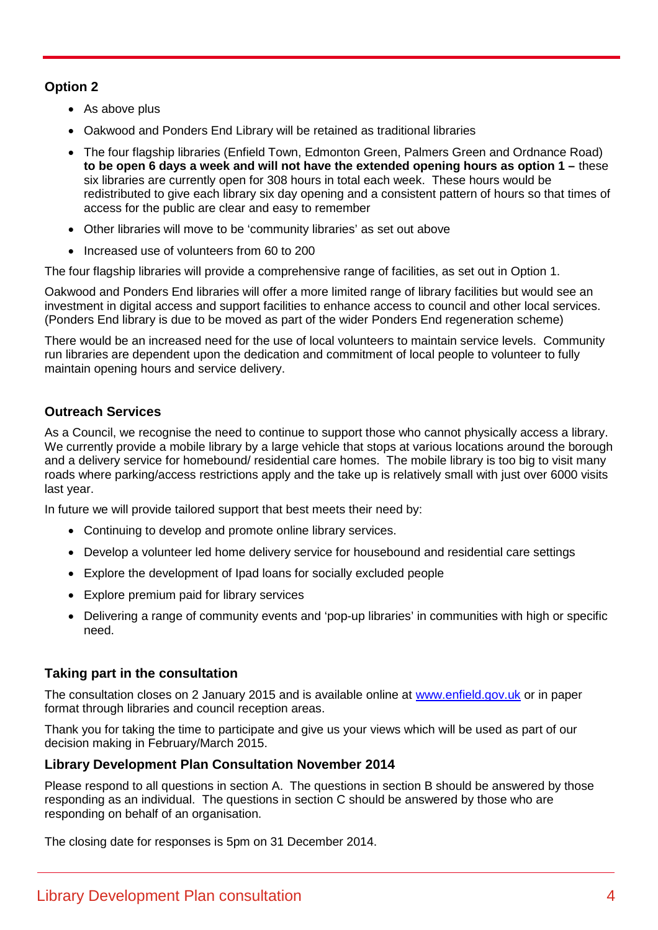# **Option 2**

- As above plus
- Oakwood and Ponders End Library will be retained as traditional libraries
- The four flagship libraries (Enfield Town, Edmonton Green, Palmers Green and Ordnance Road) **to be open 6 days a week and will not have the extended opening hours as option 1 –** these six libraries are currently open for 308 hours in total each week. These hours would be redistributed to give each library six day opening and a consistent pattern of hours so that times of access for the public are clear and easy to remember
- Other libraries will move to be 'community libraries' as set out above
- Increased use of volunteers from 60 to 200

The four flagship libraries will provide a comprehensive range of facilities, as set out in Option 1.

Oakwood and Ponders End libraries will offer a more limited range of library facilities but would see an investment in digital access and support facilities to enhance access to council and other local services. (Ponders End library is due to be moved as part of the wider Ponders End regeneration scheme)

There would be an increased need for the use of local volunteers to maintain service levels. Community run libraries are dependent upon the dedication and commitment of local people to volunteer to fully maintain opening hours and service delivery.

# **Outreach Services**

As a Council, we recognise the need to continue to support those who cannot physically access a library. We currently provide a mobile library by a large vehicle that stops at various locations around the borough and a delivery service for homebound/ residential care homes. The mobile library is too big to visit many roads where parking/access restrictions apply and the take up is relatively small with just over 6000 visits last year.

In future we will provide tailored support that best meets their need by:

- Continuing to develop and promote online library services.
- Develop a volunteer led home delivery service for housebound and residential care settings
- Explore the development of Ipad loans for socially excluded people
- Explore premium paid for library services
- Delivering a range of community events and 'pop-up libraries' in communities with high or specific need.

# **Taking part in the consultation**

The consultation closes on 2 January 2015 and is available online at www.enfield.gov.uk or in paper format through libraries and council reception areas.

Thank you for taking the time to participate and give us your views which will be used as part of our decision making in February/March 2015.

# **Library Development Plan Consultation November 2014**

Please respond to all questions in section A. The questions in section B should be answered by those responding as an individual. The questions in section C should be answered by those who are responding on behalf of an organisation.

The closing date for responses is 5pm on 31 December 2014.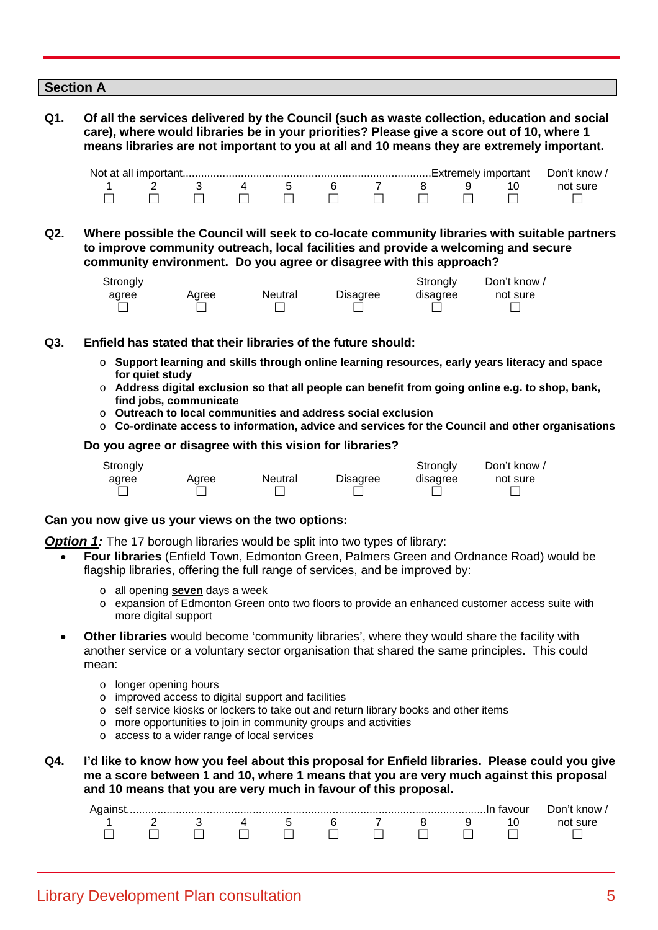|     | <b>Section A</b> |  |   |   |   |                     |                                                                                                                                                                                                                                                                                          |
|-----|------------------|--|---|---|---|---------------------|------------------------------------------------------------------------------------------------------------------------------------------------------------------------------------------------------------------------------------------------------------------------------------------|
| Q1. |                  |  |   |   |   |                     | Of all the services delivered by the Council (such as waste collection, education and social<br>care), where would libraries be in your priorities? Please give a score out of 10, where 1<br>means libraries are not important to you at all and 10 means they are extremely important. |
|     |                  |  |   |   |   | Extremely important | Don't know /                                                                                                                                                                                                                                                                             |
|     |                  |  | 5 | 6 | 8 |                     | not sure                                                                                                                                                                                                                                                                                 |

**Q2. Where possible the Council will seek to co-locate community libraries with suitable partners to improve community outreach, local facilities and provide a welcoming and secure community environment. Do you agree or disagree with this approach?**

000000000000

| Strongly |       |         |                 | Strongly | Don't know / |
|----------|-------|---------|-----------------|----------|--------------|
| agree    | Aaree | Neutral | <b>Disagree</b> | disagree | not sure     |
|          |       |         |                 |          |              |

- **Q3. Enfield has stated that their libraries of the future should:**
	- o **Support learning and skills through online learning resources, early years literacy and space for quiet study**
	- o **Address digital exclusion so that all people can benefit from going online e.g. to shop, bank, find jobs, communicate**
	- o **Outreach to local communities and address social exclusion**
	- o **Co-ordinate access to information, advice and services for the Council and other organisations**

#### **Do you agree or disagree with this vision for libraries?**



#### **Can you now give us your views on the two options:**

**Option 1:** The 17 borough libraries would be split into two types of library:

- **Four libraries** (Enfield Town, Edmonton Green, Palmers Green and Ordnance Road) would be flagship libraries, offering the full range of services, and be improved by:
	- o all opening **seven** days a week
	- o expansion of Edmonton Green onto two floors to provide an enhanced customer access suite with more digital support
- **Other libraries** would become 'community libraries', where they would share the facility with another service or a voluntary sector organisation that shared the same principles. This could mean:
	- o longer opening hours
	- o improved access to digital support and facilities
	- o self service kiosks or lockers to take out and return library books and other items
	- o more opportunities to join in community groups and activities
	- o access to a wider range of local services
- **Q4. I'd like to know how you feel about this proposal for Enfield libraries. Please could you give me a score between 1 and 10, where 1 means that you are very much against this proposal and 10 means that you are very much in favour of this proposal.**

|  |  |  |  |         | ivour | ากก<br>know |
|--|--|--|--|---------|-------|-------------|
|  |  |  |  | $\cdot$ |       |             |
|  |  |  |  |         |       |             |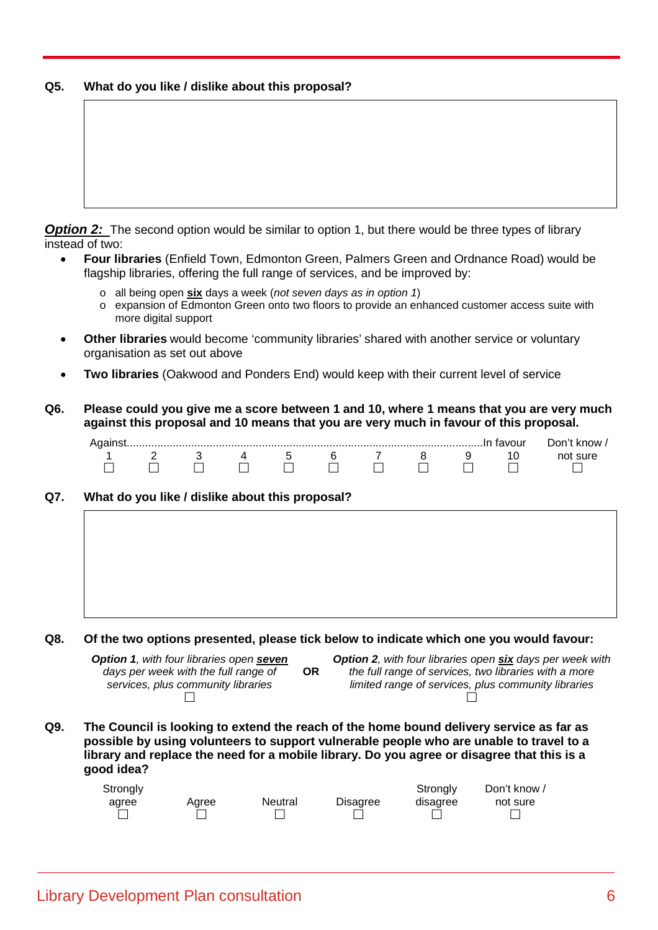## **Q5. What do you like / dislike about this proposal?**

**Option 2:** The second option would be similar to option 1, but there would be three types of library instead of two:

- **Four libraries** (Enfield Town, Edmonton Green, Palmers Green and Ordnance Road) would be flagship libraries, offering the full range of services, and be improved by:
	- o all being open **six** days a week (*not seven days as in option 1*)
	- o expansion of Edmonton Green onto two floors to provide an enhanced customer access suite with more digital support
- **Other libraries** would become 'community libraries' shared with another service or voluntary organisation as set out above
- **Two libraries** (Oakwood and Ponders End) would keep with their current level of service
- **Q6. Please could you give me a score between 1 and 10, where 1 means that you are very much against this proposal and 10 means that you are very much in favour of this proposal.**

|  |  |  |  | . favour | Don't know . |
|--|--|--|--|----------|--------------|
|  |  |  |  |          |              |
|  |  |  |  |          |              |

#### **Q7. What do you like / dislike about this proposal?**

**Q8. Of the two options presented, please tick below to indicate which one you would favour:**

| <b>Option 1, with four libraries open seven</b> |           | <b>Option 2, with four libraries open six days per week with</b> |
|-------------------------------------------------|-----------|------------------------------------------------------------------|
| days per week with the full range of            | <b>OR</b> | the full range of services, two libraries with a more            |
| services, plus community libraries              |           | limited range of services, plus community libraries              |
|                                                 |           |                                                                  |

**Q9. The Council is looking to extend the reach of the home bound delivery service as far as possible by using volunteers to support vulnerable people who are unable to travel to a library and replace the need for a mobile library. Do you agree or disagree that this is a good idea?**

| Strongly |       |         |          | Strongly | Don't know / |
|----------|-------|---------|----------|----------|--------------|
| agree    | Aaree | Neutral | Disagree | disagree | not sure     |
|          |       |         |          |          |              |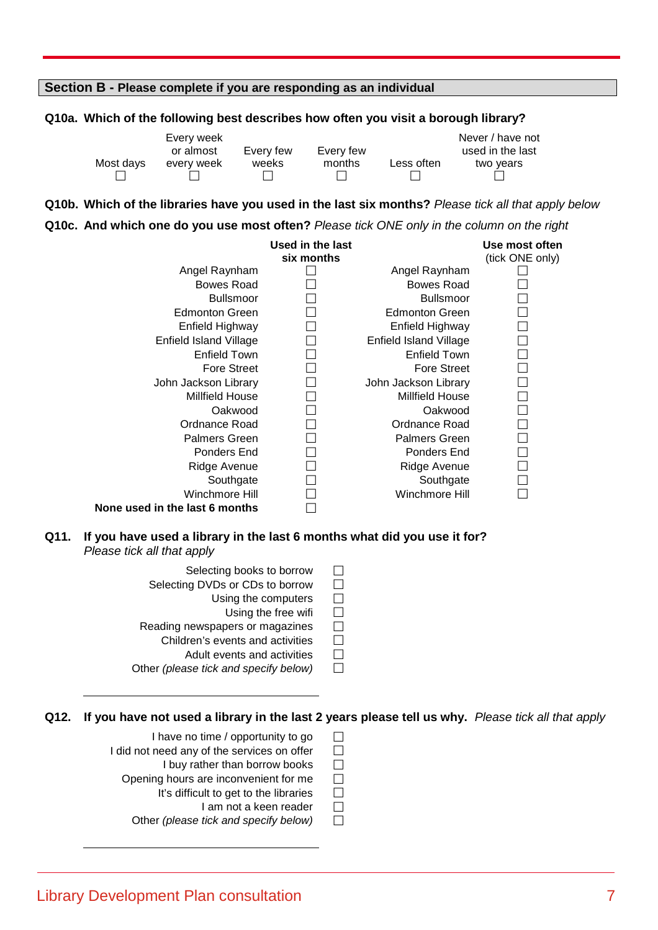## **Section B - Please complete if you are responding as an individual**

#### **Q10a. Which of the following best describes how often you visit a borough library?**

|           | Every week |           |           |            | Never / have not |
|-----------|------------|-----------|-----------|------------|------------------|
|           | or almost  | Every few | Every few |            | used in the last |
| Most days | every week | weeks     | months    | Less often | two years        |
|           |            |           |           |            |                  |

#### **Q10b. Which of the libraries have you used in the last six months?** *Please tick all that apply below*

#### **Q10c. And which one do you use most often?** *Please tick ONE only in the column on the right*

|                                | Used in the last |                        | Use most often  |
|--------------------------------|------------------|------------------------|-----------------|
|                                | six months       |                        | (tick ONE only) |
| Angel Raynham                  |                  | Angel Raynham          |                 |
| Bowes Road                     |                  | Bowes Road             |                 |
| <b>Bullsmoor</b>               |                  | <b>Bullsmoor</b>       |                 |
| <b>Edmonton Green</b>          |                  | <b>Edmonton Green</b>  |                 |
| Enfield Highway                |                  | Enfield Highway        |                 |
| Enfield Island Village         |                  | Enfield Island Village |                 |
| Enfield Town                   |                  | Enfield Town           |                 |
| <b>Fore Street</b>             |                  | <b>Fore Street</b>     |                 |
| John Jackson Library           |                  | John Jackson Library   |                 |
| <b>Millfield House</b>         |                  | <b>Millfield House</b> |                 |
| Oakwood                        |                  | Oakwood                |                 |
| Ordnance Road                  |                  | Ordnance Road          |                 |
| <b>Palmers Green</b>           |                  | <b>Palmers Green</b>   |                 |
| Ponders End                    |                  | Ponders End            |                 |
| Ridge Avenue                   |                  | Ridge Avenue           |                 |
| Southgate                      |                  | Southgate              |                 |
| Winchmore Hill                 |                  | Winchmore Hill         |                 |
| None used in the last 6 months |                  |                        |                 |

## **Q11. If you have used a library in the last 6 months what did you use it for?** *Please tick all that apply*

- Selecting books to borrow  $\square$ Selecting DVDs or CDs to borrow  $\Box$ <br>Using the computers  $\Box$ Using the computers
	- Using the free wifi  $\square$
- Reading newspapers or magazines
	- Children's events and activities  $\Box$ 
		- Adult events and activities  $\Box$
- Other *(please tick and specify below)*

# **Q12. If you have not used a library in the last 2 years please tell us why.** *Please tick all that apply*

- I have no time / opportunity to go  $\square$
- I did not need any of the services on offer  $\square$ 
	- I buy rather than borrow books  $\square$ <br>I hours are inconvenient for me
	- Opening hours are inconvenient for me
		- It's difficult to get to the libraries  $\Box$ <br>I am not a keen reader  $\Box$ 
			- I am not a keen reader
		- Other *(please tick and specify below)*